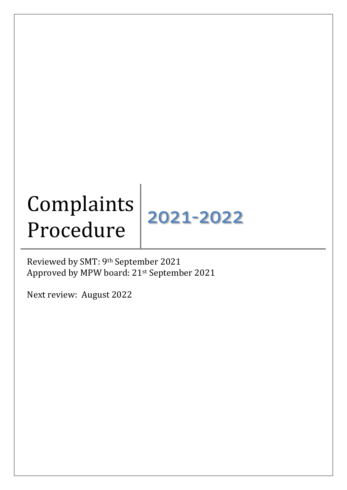# **Complaints** Compianus<br>Procedure 2021-2022

Reviewed by SMT: 9th September 2021 Approved by MPW board: 21st September 2021

Next review: August 2022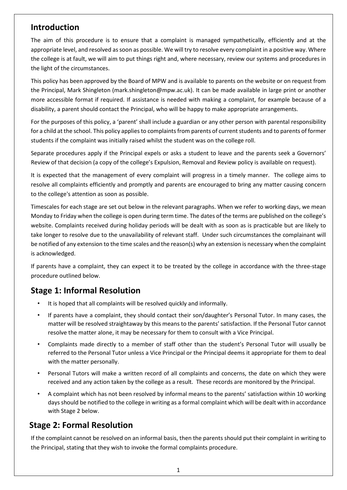## **Introduction**

The aim of this procedure is to ensure that a complaint is managed sympathetically, efficiently and at the appropriate level, and resolved as soon as possible. We will try to resolve every complaint in a positive way. Where the college is at fault, we will aim to put things right and, where necessary, review our systems and procedures in the light of the circumstances.

This policy has been approved by the Board of MPW and is available to parents on the website or on request from the Principal, Mark Shingleton (mark.shingleton@mpw.ac.uk). It can be made available in large print or another more accessible format if required. If assistance is needed with making a complaint, for example because of a disability, a parent should contact the Principal, who will be happy to make appropriate arrangements.

For the purposes of this policy, a 'parent' shall include a guardian or any other person with parental responsibility for a child at the school. This policy applies to complaints from parents of current students and to parents of former students if the complaint was initially raised whilst the student was on the college roll.

Separate procedures apply if the Principal expels or asks a student to leave and the parents seek a Governors' Review of that decision (a copy of the college's Expulsion, Removal and Review policy is available on request).

It is expected that the management of every complaint will progress in a timely manner. The college aims to resolve all complaints efficiently and promptly and parents are encouraged to bring any matter causing concern to the college's attention as soon as possible.

Timescales for each stage are set out below in the relevant paragraphs. When we refer to working days, we mean Monday to Friday when the college is open during term time. The dates of the terms are published on the college's website. Complaints received during holiday periods will be dealt with as soon as is practicable but are likely to take longer to resolve due to the unavailability of relevant staff. Under such circumstances the complainant will be notified of any extension to the time scales and the reason(s) why an extension is necessary when the complaint is acknowledged.

If parents have a complaint, they can expect it to be treated by the college in accordance with the three-stage procedure outlined below.

## **Stage 1: Informal Resolution**

- It is hoped that all complaints will be resolved quickly and informally.
- If parents have a complaint, they should contact their son/daughter's Personal Tutor. In many cases, the matter will be resolved straightaway by this means to the parents' satisfaction. If the Personal Tutor cannot resolve the matter alone, it may be necessary for them to consult with a Vice Principal.
- Complaints made directly to a member of staff other than the student's Personal Tutor will usually be referred to the Personal Tutor unless a Vice Principal or the Principal deems it appropriate for them to deal with the matter personally.
- Personal Tutors will make a written record of all complaints and concerns, the date on which they were received and any action taken by the college as a result. These records are monitored by the Principal.
- A complaint which has not been resolved by informal means to the parents' satisfaction within 10 working days should be notified to the college in writing as a formal complaint which will be dealt with in accordance with Stage 2 below.

## **Stage 2: Formal Resolution**

If the complaint cannot be resolved on an informal basis, then the parents should put their complaint in writing to the Principal, stating that they wish to invoke the formal complaints procedure.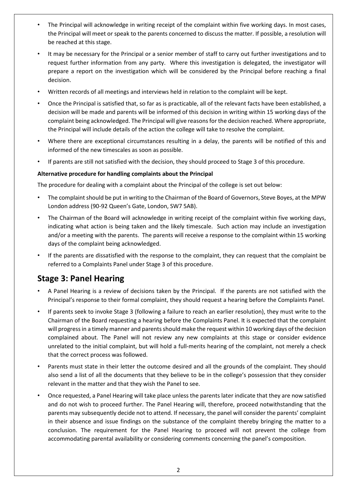- The Principal will acknowledge in writing receipt of the complaint within five working days. In most cases, the Principal will meet or speak to the parents concerned to discuss the matter. If possible, a resolution will be reached at this stage.
- It may be necessary for the Principal or a senior member of staff to carry out further investigations and to request further information from any party. Where this investigation is delegated, the investigator will prepare a report on the investigation which will be considered by the Principal before reaching a final decision.
- Written records of all meetings and interviews held in relation to the complaint will be kept.
- Once the Principal is satisfied that, so far as is practicable, all of the relevant facts have been established, a decision will be made and parents will be informed of this decision in writing within 15 working days of the complaint being acknowledged. The Principal will give reasons for the decision reached. Where appropriate, the Principal will include details of the action the college will take to resolve the complaint.
- Where there are exceptional circumstances resulting in a delay, the parents will be notified of this and informed of the new timescales as soon as possible.
- If parents are still not satisfied with the decision, they should proceed to Stage 3 of this procedure.

#### **Alternative procedure for handling complaints about the Principal**

The procedure for dealing with a complaint about the Principal of the college is set out below:

- The complaint should be put in writing to the Chairman of the Board of Governors, Steve Boyes, at the MPW London address (90-92 Queen's Gate, London, SW7 5AB).
- The Chairman of the Board will acknowledge in writing receipt of the complaint within five working days, indicating what action is being taken and the likely timescale. Such action may include an investigation and/or a meeting with the parents. The parents will receive a response to the complaint within 15 working days of the complaint being acknowledged.
- If the parents are dissatisfied with the response to the complaint, they can request that the complaint be referred to a Complaints Panel under Stage 3 of this procedure.

## **Stage 3: Panel Hearing**

- A Panel Hearing is a review of decisions taken by the Principal. If the parents are not satisfied with the Principal's response to their formal complaint, they should request a hearing before the Complaints Panel.
- If parents seek to invoke Stage 3 (following a failure to reach an earlier resolution), they must write to the Chairman of the Board requesting a hearing before the Complaints Panel. It is expected that the complaint will progress in a timely manner and parents should make the request within 10 working days of the decision complained about. The Panel will not review any new complaints at this stage or consider evidence unrelated to the initial complaint, but will hold a full-merits hearing of the complaint, not merely a check that the correct process was followed.
- Parents must state in their letter the outcome desired and all the grounds of the complaint. They should also send a list of all the documents that they believe to be in the college's possession that they consider relevant in the matter and that they wish the Panel to see.
- Once requested, a Panel Hearing will take place unless the parents later indicate that they are now satisfied and do not wish to proceed further. The Panel Hearing will, therefore, proceed notwithstanding that the parents may subsequently decide not to attend. If necessary, the panel will consider the parents' complaint in their absence and issue findings on the substance of the complaint thereby bringing the matter to a conclusion. The requirement for the Panel Hearing to proceed will not prevent the college from accommodating parental availability or considering comments concerning the panel's composition.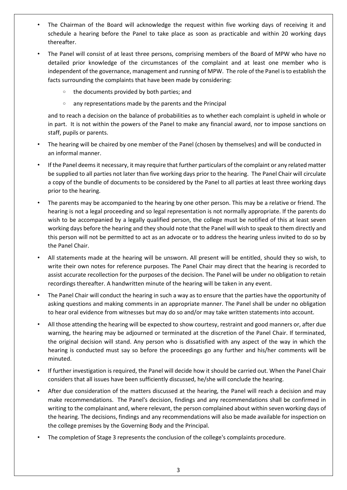- The Chairman of the Board will acknowledge the request within five working days of receiving it and schedule a hearing before the Panel to take place as soon as practicable and within 20 working days thereafter.
- The Panel will consist of at least three persons, comprising members of the Board of MPW who have no detailed prior knowledge of the circumstances of the complaint and at least one member who is independent of the governance, management and running of MPW. The role of the Panel is to establish the facts surrounding the complaints that have been made by considering:
	- o the documents provided by both parties; and
	- o any representations made by the parents and the Principal

and to reach a decision on the balance of probabilities as to whether each complaint is upheld in whole or in part. It is not within the powers of the Panel to make any financial award, nor to impose sanctions on staff, pupils or parents.

- The hearing will be chaired by one member of the Panel (chosen by themselves) and will be conducted in an informal manner.
- If the Panel deems it necessary, it may require that further particulars of the complaint or any related matter be supplied to all parties not later than five working days prior to the hearing. The Panel Chair will circulate a copy of the bundle of documents to be considered by the Panel to all parties at least three working days prior to the hearing.
- The parents may be accompanied to the hearing by one other person. This may be a relative or friend. The hearing is not a legal proceeding and so legal representation is not normally appropriate. If the parents do wish to be accompanied by a legally qualified person, the college must be notified of this at least seven working days before the hearing and they should note that the Panel will wish to speak to them directly and this person will not be permitted to act as an advocate or to address the hearing unless invited to do so by the Panel Chair.
- All statements made at the hearing will be unsworn. All present will be entitled, should they so wish, to write their own notes for reference purposes. The Panel Chair may direct that the hearing is recorded to assist accurate recollection for the purposes of the decision. The Panel will be under no obligation to retain recordings thereafter. A handwritten minute of the hearing will be taken in any event.
- The Panel Chair will conduct the hearing in such a way as to ensure that the parties have the opportunity of asking questions and making comments in an appropriate manner. The Panel shall be under no obligation to hear oral evidence from witnesses but may do so and/or may take written statements into account.
- All those attending the hearing will be expected to show courtesy, restraint and good manners or, after due warning, the hearing may be adjourned or terminated at the discretion of the Panel Chair. If terminated, the original decision will stand. Any person who is dissatisfied with any aspect of the way in which the hearing is conducted must say so before the proceedings go any further and his/her comments will be minuted.
- If further investigation is required, the Panel will decide how it should be carried out. When the Panel Chair considers that all issues have been sufficiently discussed, he/she will conclude the hearing.
- After due consideration of the matters discussed at the hearing, the Panel will reach a decision and may make recommendations. The Panel's decision, findings and any recommendations shall be confirmed in writing to the complainant and, where relevant, the person complained about within seven working days of the hearing. The decisions, findings and any recommendations will also be made available for inspection on the college premises by the Governing Body and the Principal.
- The completion of Stage 3 represents the conclusion of the college's complaints procedure.